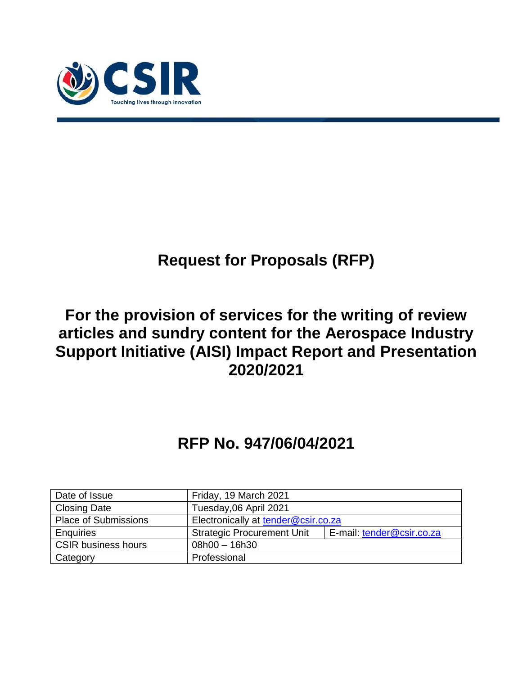

# **Request for Proposals (RFP)**

## **For the provision of services for the writing of review articles and sundry content for the Aerospace Industry Support Initiative (AISI) Impact Report and Presentation 2020/2021**

# **RFP No. 947/06/04/2021**

| Date of Issue               | Friday, 19 March 2021                                          |  |  |  |
|-----------------------------|----------------------------------------------------------------|--|--|--|
| <b>Closing Date</b>         | Tuesday, 06 April 2021                                         |  |  |  |
| <b>Place of Submissions</b> | Electronically at tender@csir.co.za                            |  |  |  |
| Enquiries                   | <b>Strategic Procurement Unit</b><br>E-mail: tender@csir.co.za |  |  |  |
| <b>CSIR business hours</b>  | $08h00 - 16h30$                                                |  |  |  |
| Category                    | Professional                                                   |  |  |  |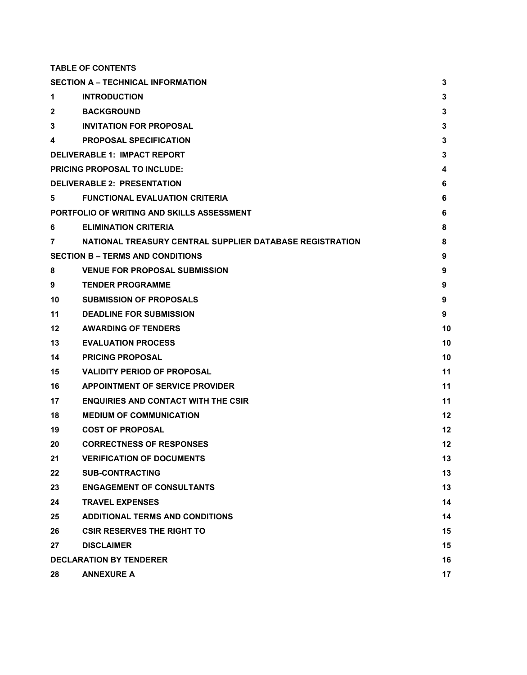**TABLE OF CONTENTS**

|             | <b>SECTION A - TECHNICAL INFORMATION</b>                 | 3  |  |  |  |  |
|-------------|----------------------------------------------------------|----|--|--|--|--|
| 1           | <b>INTRODUCTION</b>                                      |    |  |  |  |  |
| 2           | <b>BACKGROUND</b>                                        | 3  |  |  |  |  |
| 3           | <b>INVITATION FOR PROPOSAL</b>                           | 3  |  |  |  |  |
| 4           | <b>PROPOSAL SPECIFICATION</b>                            | 3  |  |  |  |  |
|             | <b>DELIVERABLE 1: IMPACT REPORT</b>                      | 3  |  |  |  |  |
|             | <b>PRICING PROPOSAL TO INCLUDE:</b>                      | 4  |  |  |  |  |
|             | <b>DELIVERABLE 2: PRESENTATION</b>                       | 6  |  |  |  |  |
| $5^{\circ}$ | <b>FUNCTIONAL EVALUATION CRITERIA</b>                    | 6  |  |  |  |  |
|             | PORTFOLIO OF WRITING AND SKILLS ASSESSMENT               | 6  |  |  |  |  |
| 6           | <b>ELIMINATION CRITERIA</b>                              | 8  |  |  |  |  |
| 7           | NATIONAL TREASURY CENTRAL SUPPLIER DATABASE REGISTRATION | 8  |  |  |  |  |
|             | <b>SECTION B – TERMS AND CONDITIONS</b>                  | 9  |  |  |  |  |
| 8           | <b>VENUE FOR PROPOSAL SUBMISSION</b>                     | 9  |  |  |  |  |
| 9           | <b>TENDER PROGRAMME</b>                                  | 9  |  |  |  |  |
| 10          | <b>SUBMISSION OF PROPOSALS</b>                           | 9  |  |  |  |  |
| 11          | <b>DEADLINE FOR SUBMISSION</b>                           | 9  |  |  |  |  |
| 12          | <b>AWARDING OF TENDERS</b>                               | 10 |  |  |  |  |
| 13          | <b>EVALUATION PROCESS</b>                                | 10 |  |  |  |  |
| 14          | <b>PRICING PROPOSAL</b>                                  | 10 |  |  |  |  |
| 15          | <b>VALIDITY PERIOD OF PROPOSAL</b>                       | 11 |  |  |  |  |
| 16          | <b>APPOINTMENT OF SERVICE PROVIDER</b>                   | 11 |  |  |  |  |
| 17          | <b>ENQUIRIES AND CONTACT WITH THE CSIR</b>               | 11 |  |  |  |  |
| 18          | <b>MEDIUM OF COMMUNICATION</b>                           | 12 |  |  |  |  |
| 19          | <b>COST OF PROPOSAL</b>                                  | 12 |  |  |  |  |
| 20          | <b>CORRECTNESS OF RESPONSES</b>                          | 12 |  |  |  |  |
| 21          | <b>VERIFICATION OF DOCUMENTS</b>                         | 13 |  |  |  |  |
| 22          | <b>SUB-CONTRACTING</b>                                   | 13 |  |  |  |  |
| 23          | <b>ENGAGEMENT OF CONSULTANTS</b>                         | 13 |  |  |  |  |
| 24          | <b>TRAVEL EXPENSES</b>                                   | 14 |  |  |  |  |
| 25          | <b>ADDITIONAL TERMS AND CONDITIONS</b>                   | 14 |  |  |  |  |
| 26          | <b>CSIR RESERVES THE RIGHT TO</b>                        | 15 |  |  |  |  |
| 27          | <b>DISCLAIMER</b>                                        | 15 |  |  |  |  |
|             | <b>DECLARATION BY TENDERER</b>                           | 16 |  |  |  |  |
| 28          | <b>ANNEXURE A</b>                                        | 17 |  |  |  |  |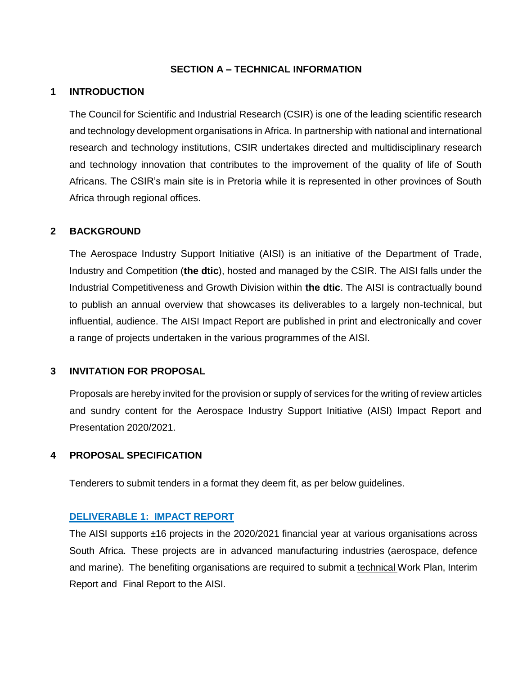#### **SECTION A – TECHNICAL INFORMATION**

#### <span id="page-2-1"></span><span id="page-2-0"></span>**1 INTRODUCTION**

The Council for Scientific and Industrial Research (CSIR) is one of the leading scientific research and technology development organisations in Africa. In partnership with national and international research and technology institutions, CSIR undertakes directed and multidisciplinary research and technology innovation that contributes to the improvement of the quality of life of South Africans. The CSIR's main site is in Pretoria while it is represented in other provinces of South Africa through regional offices.

#### <span id="page-2-2"></span>**2 BACKGROUND**

The Aerospace Industry Support Initiative (AISI) is an initiative of the Department of Trade, Industry and Competition (**the dtic**), hosted and managed by the CSIR. The AISI falls under the Industrial Competitiveness and Growth Division within **the dtic**. The AISI is contractually bound to publish an annual overview that showcases its deliverables to a largely non-technical, but influential, audience. The AISI Impact Report are published in print and electronically and cover a range of projects undertaken in the various programmes of the AISI.

#### <span id="page-2-3"></span>**3 INVITATION FOR PROPOSAL**

Proposals are hereby invited for the provision or supply of services for the writing of review articles and sundry content for the Aerospace Industry Support Initiative (AISI) Impact Report and Presentation 2020/2021.

#### <span id="page-2-4"></span>**4 PROPOSAL SPECIFICATION**

Tenderers to submit tenders in a format they deem fit, as per below guidelines.

#### <span id="page-2-5"></span>**DELIVERABLE 1: IMPACT REPORT**

The AISI supports ±16 projects in the 2020/2021 financial year at various organisations across South Africa. These projects are in advanced manufacturing industries (aerospace, defence and marine). The benefiting organisations are required to submit a technical Work Plan, Interim Report and Final Report to the AISI.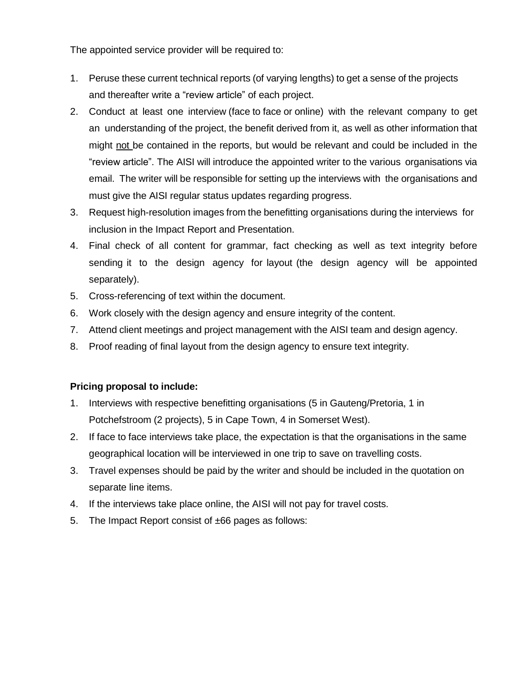The appointed service provider will be required to:

- 1. Peruse these current technical reports (of varying lengths) to get a sense of the projects and thereafter write a "review article" of each project.
- 2. Conduct at least one interview (face to face or online) with the relevant company to get an understanding of the project, the benefit derived from it, as well as other information that might not be contained in the reports, but would be relevant and could be included in the "review article". The AISI will introduce the appointed writer to the various organisations via email. The writer will be responsible for setting up the interviews with the organisations and must give the AISI regular status updates regarding progress.
- 3. Request high-resolution images from the benefitting organisations during the interviews for inclusion in the Impact Report and Presentation.
- 4. Final check of all content for grammar, fact checking as well as text integrity before sending it to the design agency for layout (the design agency will be appointed separately).
- 5. Cross-referencing of text within the document.
- 6. Work closely with the design agency and ensure integrity of the content.
- 7. Attend client meetings and project management with the AISI team and design agency.
- 8. Proof reading of final layout from the design agency to ensure text integrity.

#### <span id="page-3-0"></span>**Pricing proposal to include:**

- 1. Interviews with respective benefitting organisations (5 in Gauteng/Pretoria, 1 in Potchefstroom (2 projects), 5 in Cape Town, 4 in Somerset West).
- 2. If face to face interviews take place, the expectation is that the organisations in the same geographical location will be interviewed in one trip to save on travelling costs.
- 3. Travel expenses should be paid by the writer and should be included in the quotation on separate line items.
- 4. If the interviews take place online, the AISI will not pay for travel costs.
- 5. The Impact Report consist of ±66 pages as follows: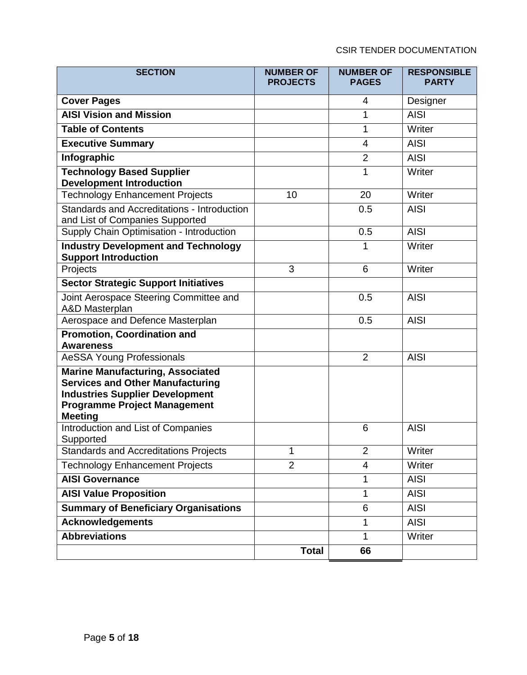## CSIR TENDER DOCUMENTATION

| <b>SECTION</b>                                                                                                                                                                        | <b>NUMBER OF</b><br><b>PROJECTS</b> | <b>NUMBER OF</b><br><b>PAGES</b> | <b>RESPONSIBLE</b><br><b>PARTY</b> |
|---------------------------------------------------------------------------------------------------------------------------------------------------------------------------------------|-------------------------------------|----------------------------------|------------------------------------|
| <b>Cover Pages</b>                                                                                                                                                                    |                                     | 4                                | Designer                           |
| <b>AISI Vision and Mission</b>                                                                                                                                                        |                                     | 1                                | <b>AISI</b>                        |
| <b>Table of Contents</b>                                                                                                                                                              |                                     | 1                                | Writer                             |
| <b>Executive Summary</b>                                                                                                                                                              |                                     | 4                                | <b>AISI</b>                        |
| Infographic                                                                                                                                                                           |                                     | $\overline{2}$                   | <b>AISI</b>                        |
| <b>Technology Based Supplier</b><br><b>Development Introduction</b>                                                                                                                   |                                     | $\mathbf{1}$                     | Writer                             |
| <b>Technology Enhancement Projects</b>                                                                                                                                                | 10                                  | 20                               | Writer                             |
| Standards and Accreditations - Introduction<br>and List of Companies Supported                                                                                                        |                                     | 0.5                              | <b>AISI</b>                        |
| Supply Chain Optimisation - Introduction                                                                                                                                              |                                     | 0.5                              | <b>AISI</b>                        |
| <b>Industry Development and Technology</b><br><b>Support Introduction</b>                                                                                                             |                                     | 1                                | Writer                             |
| Projects                                                                                                                                                                              | 3                                   | 6                                | Writer                             |
| <b>Sector Strategic Support Initiatives</b>                                                                                                                                           |                                     |                                  |                                    |
| Joint Aerospace Steering Committee and<br><b>A&amp;D Masterplan</b>                                                                                                                   |                                     | 0.5                              | <b>AISI</b>                        |
| Aerospace and Defence Masterplan                                                                                                                                                      |                                     | 0.5                              | <b>AISI</b>                        |
| <b>Promotion, Coordination and</b><br><b>Awareness</b>                                                                                                                                |                                     |                                  |                                    |
| <b>AeSSA Young Professionals</b>                                                                                                                                                      |                                     | $\overline{2}$                   | <b>AISI</b>                        |
| <b>Marine Manufacturing, Associated</b><br><b>Services and Other Manufacturing</b><br><b>Industries Supplier Development</b><br><b>Programme Project Management</b><br><b>Meeting</b> |                                     |                                  |                                    |
| Introduction and List of Companies<br>Supported                                                                                                                                       |                                     | 6                                | <b>AISI</b>                        |
| <b>Standards and Accreditations Projects</b>                                                                                                                                          | 1                                   | $\overline{2}$                   | Writer                             |
| <b>Technology Enhancement Projects</b>                                                                                                                                                | $\overline{2}$                      | 4                                | Writer                             |
| <b>AISI Governance</b>                                                                                                                                                                |                                     | 1                                | <b>AISI</b>                        |
| <b>AISI Value Proposition</b>                                                                                                                                                         |                                     | 1                                | <b>AISI</b>                        |
| <b>Summary of Beneficiary Organisations</b>                                                                                                                                           |                                     | 6                                | <b>AISI</b>                        |
| <b>Acknowledgements</b>                                                                                                                                                               |                                     | 1                                | <b>AISI</b>                        |
| <b>Abbreviations</b>                                                                                                                                                                  |                                     | $\mathbf{1}$                     | Writer                             |
|                                                                                                                                                                                       | <b>Total</b>                        | 66                               |                                    |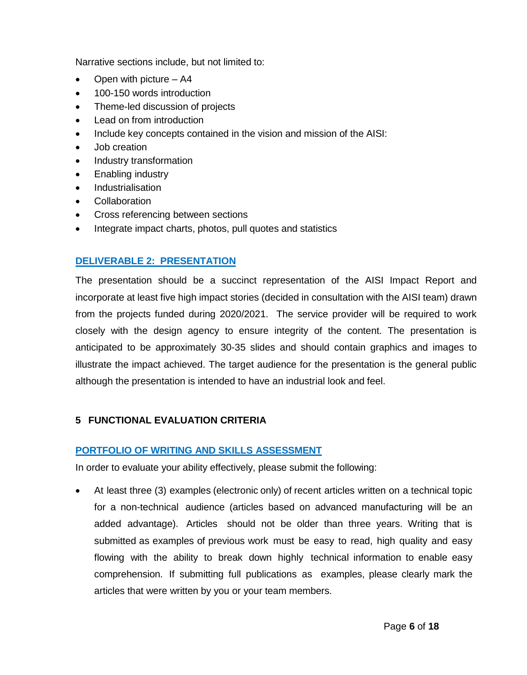Narrative sections include, but not limited to:

- Open with picture A4
- 100-150 words introduction
- Theme-led discussion of projects
- Lead on from introduction
- Include key concepts contained in the vision and mission of the AISI:
- Job creation
- Industry transformation
- Enabling industry
- Industrialisation
- Collaboration
- Cross referencing between sections
- Integrate impact charts, photos, pull quotes and statistics

## <span id="page-5-0"></span>**DELIVERABLE 2: PRESENTATION**

The presentation should be a succinct representation of the AISI Impact Report and incorporate at least five high impact stories (decided in consultation with the AISI team) drawn from the projects funded during 2020/2021. The service provider will be required to work closely with the design agency to ensure integrity of the content. The presentation is anticipated to be approximately 30-35 slides and should contain graphics and images to illustrate the impact achieved. The target audience for the presentation is the general public although the presentation is intended to have an industrial look and feel.

## <span id="page-5-1"></span>**5 FUNCTIONAL EVALUATION CRITERIA**

#### <span id="page-5-2"></span>**PORTFOLIO OF WRITING AND SKILLS ASSESSMENT**

In order to evaluate your ability effectively, please submit the following:

 At least three (3) examples (electronic only) of recent articles written on a technical topic for a non-technical audience (articles based on advanced manufacturing will be an added advantage). Articles should not be older than three years. Writing that is submitted as examples of previous work must be easy to read, high quality and easy flowing with the ability to break down highly technical information to enable easy comprehension. If submitting full publications as examples, please clearly mark the articles that were written by you or your team members.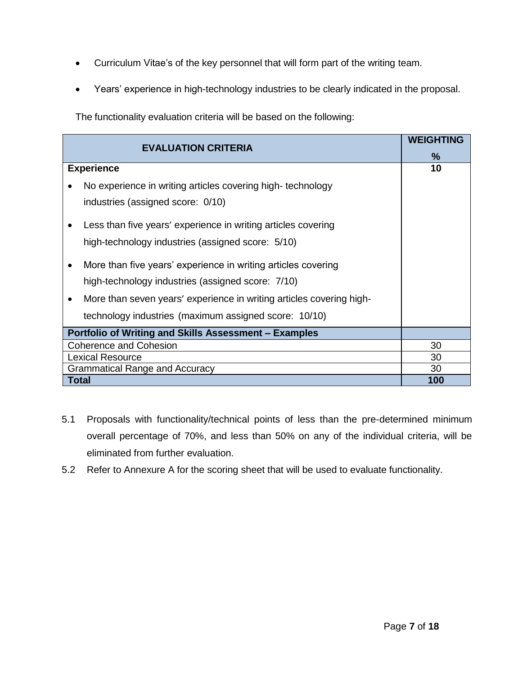- Curriculum Vitae's of the key personnel that will form part of the writing team.
- Years' experience in high-technology industries to be clearly indicated in the proposal.

The functionality evaluation criteria will be based on the following:

|                                                                                   | <b>WEIGHTING</b> |
|-----------------------------------------------------------------------------------|------------------|
| <b>EVALUATION CRITERIA</b>                                                        | $\frac{9}{6}$    |
| <b>Experience</b>                                                                 | 10               |
| No experience in writing articles covering high-technology                        |                  |
| industries (assigned score: 0/10)                                                 |                  |
|                                                                                   |                  |
| Less than five years' experience in writing articles covering                     |                  |
| high-technology industries (assigned score: 5/10)                                 |                  |
|                                                                                   |                  |
| More than five years' experience in writing articles covering                     |                  |
| high-technology industries (assigned score: 7/10)                                 |                  |
| More than seven years' experience in writing articles covering high-<br>$\bullet$ |                  |
| technology industries (maximum assigned score: 10/10)                             |                  |
| Portfolio of Writing and Skills Assessment - Examples                             |                  |
| <b>Coherence and Cohesion</b>                                                     | 30               |
| <b>Lexical Resource</b>                                                           | 30               |
| <b>Grammatical Range and Accuracy</b>                                             | 30               |
| Total                                                                             | 100              |

- 5.1 Proposals with functionality/technical points of less than the pre-determined minimum overall percentage of 70%, and less than 50% on any of the individual criteria, will be eliminated from further evaluation.
- 5.2 Refer to Annexure A for the scoring sheet that will be used to evaluate functionality.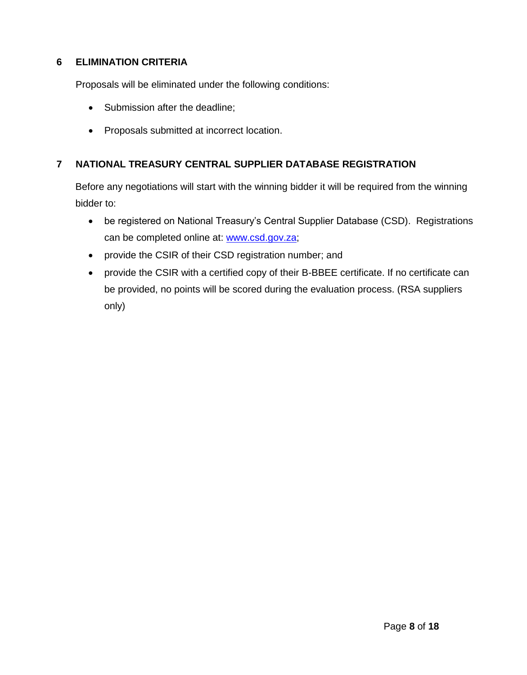## <span id="page-7-0"></span>**6 ELIMINATION CRITERIA**

Proposals will be eliminated under the following conditions:

- Submission after the deadline;
- Proposals submitted at incorrect location.

## <span id="page-7-1"></span>**7 NATIONAL TREASURY CENTRAL SUPPLIER DATABASE REGISTRATION**

Before any negotiations will start with the winning bidder it will be required from the winning bidder to:

- be registered on National Treasury's Central Supplier Database (CSD). Registrations can be completed online at: [www.csd.gov.za;](http://www.csd.gov.za/)
- provide the CSIR of their CSD registration number; and
- provide the CSIR with a certified copy of their B-BBEE certificate. If no certificate can be provided, no points will be scored during the evaluation process. (RSA suppliers only)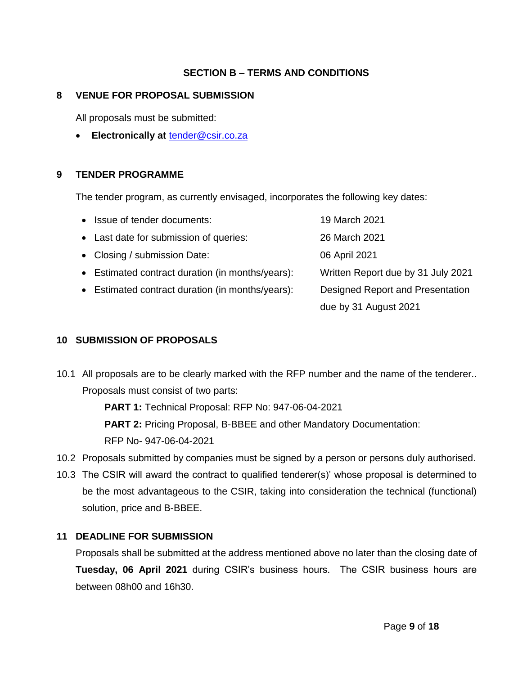## **SECTION B – TERMS AND CONDITIONS**

#### <span id="page-8-1"></span><span id="page-8-0"></span>**8 VENUE FOR PROPOSAL SUBMISSION**

All proposals must be submitted:

**Electronically at** [tender@csir.co.za](mailto:tender@csir.co.za)

#### <span id="page-8-2"></span>**9 TENDER PROGRAMME**

The tender program, as currently envisaged, incorporates the following key dates:

| • Issue of tender documents:                     | 19 March 2021                      |
|--------------------------------------------------|------------------------------------|
| • Last date for submission of queries:           | 26 March 2021                      |
| • Closing / submission Date:                     | 06 April 2021                      |
| • Estimated contract duration (in months/years): | Written Report due by 31 July 2021 |
| • Estimated contract duration (in months/years): | Designed Report and Presentation   |
|                                                  | due by 31 August 2021              |

#### <span id="page-8-3"></span>**10 SUBMISSION OF PROPOSALS**

10.1 All proposals are to be clearly marked with the RFP number and the name of the tenderer.. Proposals must consist of two parts:

**PART 1:** Technical Proposal: RFP No: 947-06-04-2021

**PART 2: Pricing Proposal, B-BBEE and other Mandatory Documentation:** 

RFP No- 947-06-04-2021

- 10.2 Proposals submitted by companies must be signed by a person or persons duly authorised.
- 10.3 The CSIR will award the contract to qualified tenderer(s)' whose proposal is determined to be the most advantageous to the CSIR, taking into consideration the technical (functional) solution, price and B-BBEE.

#### <span id="page-8-4"></span>**11 DEADLINE FOR SUBMISSION**

Proposals shall be submitted at the address mentioned above no later than the closing date of **Tuesday, 06 April 2021** during CSIR's business hours. The CSIR business hours are between 08h00 and 16h30.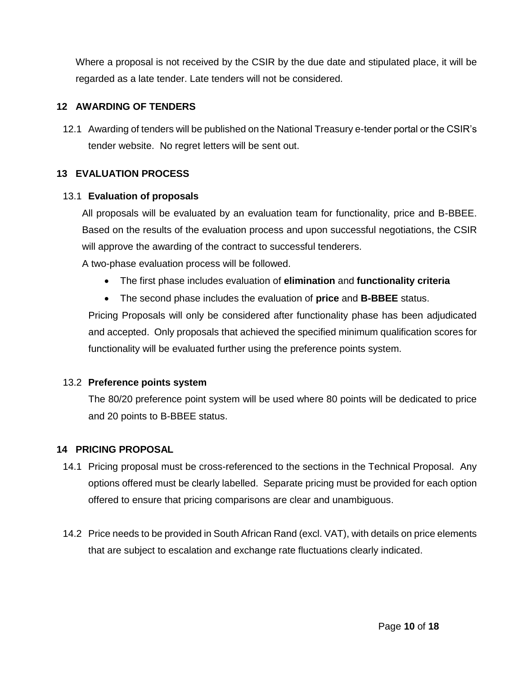Where a proposal is not received by the CSIR by the due date and stipulated place, it will be regarded as a late tender. Late tenders will not be considered.

## <span id="page-9-0"></span>**12 AWARDING OF TENDERS**

12.1 Awarding of tenders will be published on the National Treasury e-tender portal or the CSIR's tender website. No regret letters will be sent out.

## <span id="page-9-1"></span>**13 EVALUATION PROCESS**

#### 13.1 **Evaluation of proposals**

All proposals will be evaluated by an evaluation team for functionality, price and B-BBEE. Based on the results of the evaluation process and upon successful negotiations, the CSIR will approve the awarding of the contract to successful tenderers.

A two-phase evaluation process will be followed.

- The first phase includes evaluation of **elimination** and **functionality criteria**
- The second phase includes the evaluation of **price** and **B-BBEE** status.

Pricing Proposals will only be considered after functionality phase has been adjudicated and accepted. Only proposals that achieved the specified minimum qualification scores for functionality will be evaluated further using the preference points system.

#### 13.2 **Preference points system**

The 80/20 preference point system will be used where 80 points will be dedicated to price and 20 points to B-BBEE status.

#### <span id="page-9-2"></span>**14 PRICING PROPOSAL**

- 14.1 Pricing proposal must be cross-referenced to the sections in the Technical Proposal. Any options offered must be clearly labelled. Separate pricing must be provided for each option offered to ensure that pricing comparisons are clear and unambiguous.
- 14.2 Price needs to be provided in South African Rand (excl. VAT), with details on price elements that are subject to escalation and exchange rate fluctuations clearly indicated.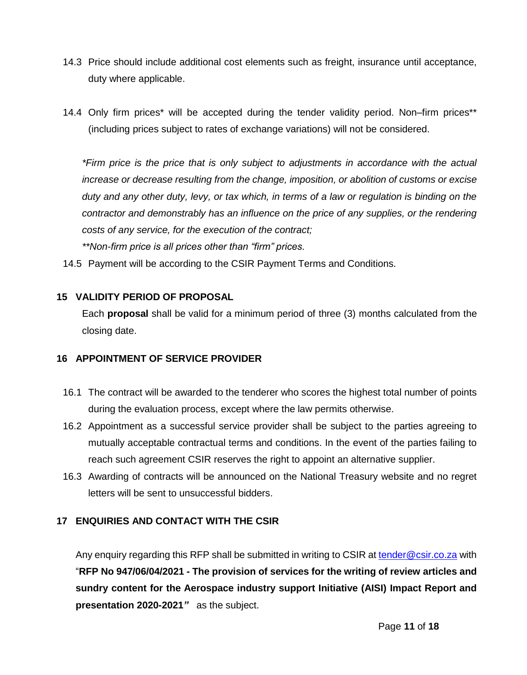- 14.3 Price should include additional cost elements such as freight, insurance until acceptance, duty where applicable.
- 14.4 Only firm prices\* will be accepted during the tender validity period. Non–firm prices\*\* (including prices subject to rates of exchange variations) will not be considered.

*\*Firm price is the price that is only subject to adjustments in accordance with the actual increase or decrease resulting from the change, imposition, or abolition of customs or excise duty and any other duty, levy, or tax which, in terms of a law or regulation is binding on the contractor and demonstrably has an influence on the price of any supplies, or the rendering costs of any service, for the execution of the contract; \*\*Non-firm price is all prices other than "firm" prices.*

14.5 Payment will be according to the CSIR Payment Terms and Conditions.

#### <span id="page-10-0"></span>**15 VALIDITY PERIOD OF PROPOSAL**

Each **proposal** shall be valid for a minimum period of three (3) months calculated from the closing date.

#### <span id="page-10-1"></span>**16 APPOINTMENT OF SERVICE PROVIDER**

- 16.1 The contract will be awarded to the tenderer who scores the highest total number of points during the evaluation process, except where the law permits otherwise.
- 16.2 Appointment as a successful service provider shall be subject to the parties agreeing to mutually acceptable contractual terms and conditions. In the event of the parties failing to reach such agreement CSIR reserves the right to appoint an alternative supplier.
- 16.3 Awarding of contracts will be announced on the National Treasury website and no regret letters will be sent to unsuccessful bidders.

#### <span id="page-10-2"></span>**17 ENQUIRIES AND CONTACT WITH THE CSIR**

Any enquiry regarding this RFP shall be submitted in writing to CSIR a[t tender@csir.co.za](mailto:tender@csir.co.za) with "**RFP No 947/06/04/2021 - The provision of services for the writing of review articles and sundry content for the Aerospace industry support Initiative (AISI) Impact Report and presentation 2020-2021***"* as the subject.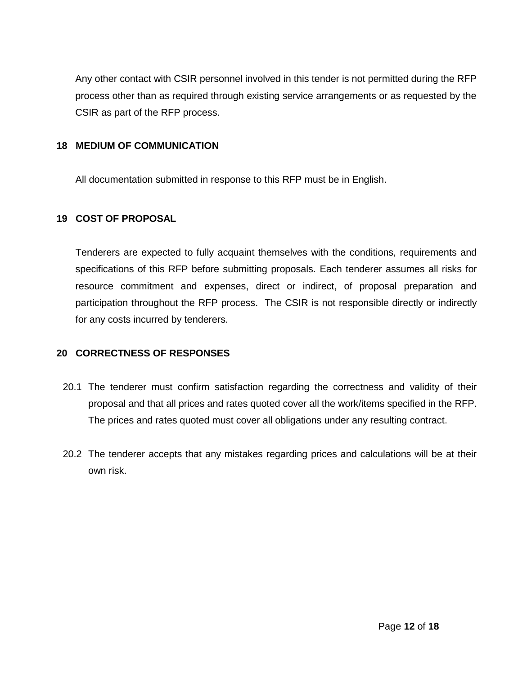Any other contact with CSIR personnel involved in this tender is not permitted during the RFP process other than as required through existing service arrangements or as requested by the CSIR as part of the RFP process.

#### <span id="page-11-0"></span>**18 MEDIUM OF COMMUNICATION**

All documentation submitted in response to this RFP must be in English.

#### <span id="page-11-1"></span>**19 COST OF PROPOSAL**

Tenderers are expected to fully acquaint themselves with the conditions, requirements and specifications of this RFP before submitting proposals. Each tenderer assumes all risks for resource commitment and expenses, direct or indirect, of proposal preparation and participation throughout the RFP process. The CSIR is not responsible directly or indirectly for any costs incurred by tenderers.

#### <span id="page-11-2"></span>**20 CORRECTNESS OF RESPONSES**

- 20.1 The tenderer must confirm satisfaction regarding the correctness and validity of their proposal and that all prices and rates quoted cover all the work/items specified in the RFP. The prices and rates quoted must cover all obligations under any resulting contract.
- 20.2 The tenderer accepts that any mistakes regarding prices and calculations will be at their own risk.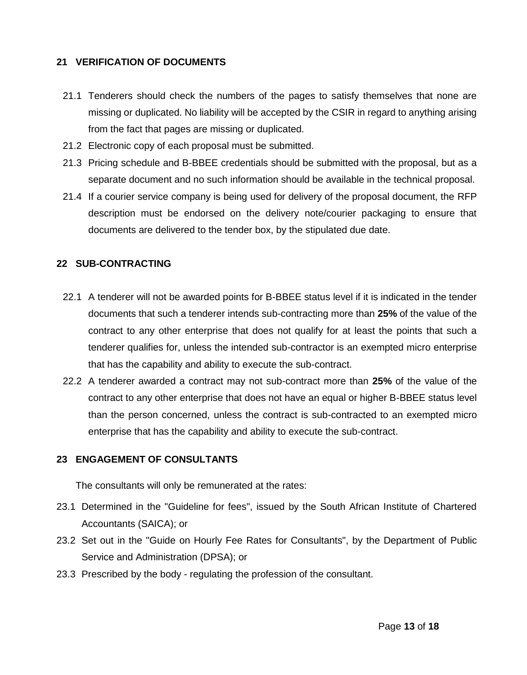#### <span id="page-12-0"></span>**21 VERIFICATION OF DOCUMENTS**

- 21.1 Tenderers should check the numbers of the pages to satisfy themselves that none are missing or duplicated. No liability will be accepted by the CSIR in regard to anything arising from the fact that pages are missing or duplicated.
- 21.2 Electronic copy of each proposal must be submitted.
- 21.3 Pricing schedule and B-BBEE credentials should be submitted with the proposal, but as a separate document and no such information should be available in the technical proposal.
- 21.4 If a courier service company is being used for delivery of the proposal document, the RFP description must be endorsed on the delivery note/courier packaging to ensure that documents are delivered to the tender box, by the stipulated due date.

## <span id="page-12-1"></span>**22 SUB-CONTRACTING**

- 22.1 A tenderer will not be awarded points for B-BBEE status level if it is indicated in the tender documents that such a tenderer intends sub-contracting more than **25%** of the value of the contract to any other enterprise that does not qualify for at least the points that such a tenderer qualifies for, unless the intended sub-contractor is an exempted micro enterprise that has the capability and ability to execute the sub-contract.
- 22.2 A tenderer awarded a contract may not sub-contract more than **25%** of the value of the contract to any other enterprise that does not have an equal or higher B-BBEE status level than the person concerned, unless the contract is sub-contracted to an exempted micro enterprise that has the capability and ability to execute the sub-contract.

#### <span id="page-12-2"></span>**23 ENGAGEMENT OF CONSULTANTS**

The consultants will only be remunerated at the rates:

- 23.1 Determined in the "Guideline for fees", issued by the South African Institute of Chartered Accountants (SAICA); or
- 23.2 Set out in the "Guide on Hourly Fee Rates for Consultants", by the Department of Public Service and Administration (DPSA); or
- 23.3 Prescribed by the body regulating the profession of the consultant.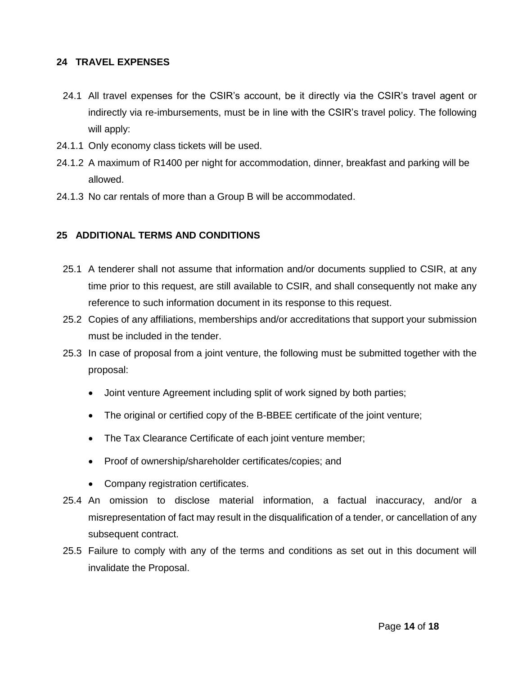#### <span id="page-13-0"></span>**24 TRAVEL EXPENSES**

- 24.1 All travel expenses for the CSIR's account, be it directly via the CSIR's travel agent or indirectly via re-imbursements, must be in line with the CSIR's travel policy. The following will apply:
- 24.1.1 Only economy class tickets will be used.
- 24.1.2 A maximum of R1400 per night for accommodation, dinner, breakfast and parking will be allowed.
- 24.1.3 No car rentals of more than a Group B will be accommodated.

#### <span id="page-13-1"></span>**25 ADDITIONAL TERMS AND CONDITIONS**

- 25.1 A tenderer shall not assume that information and/or documents supplied to CSIR, at any time prior to this request, are still available to CSIR, and shall consequently not make any reference to such information document in its response to this request.
- 25.2 Copies of any affiliations, memberships and/or accreditations that support your submission must be included in the tender.
- 25.3 In case of proposal from a joint venture, the following must be submitted together with the proposal:
	- Joint venture Agreement including split of work signed by both parties;
	- The original or certified copy of the B-BBEE certificate of the joint venture;
	- The Tax Clearance Certificate of each joint venture member;
	- Proof of ownership/shareholder certificates/copies; and
	- Company registration certificates.
- 25.4 An omission to disclose material information, a factual inaccuracy, and/or a misrepresentation of fact may result in the disqualification of a tender, or cancellation of any subsequent contract.
- 25.5 Failure to comply with any of the terms and conditions as set out in this document will invalidate the Proposal.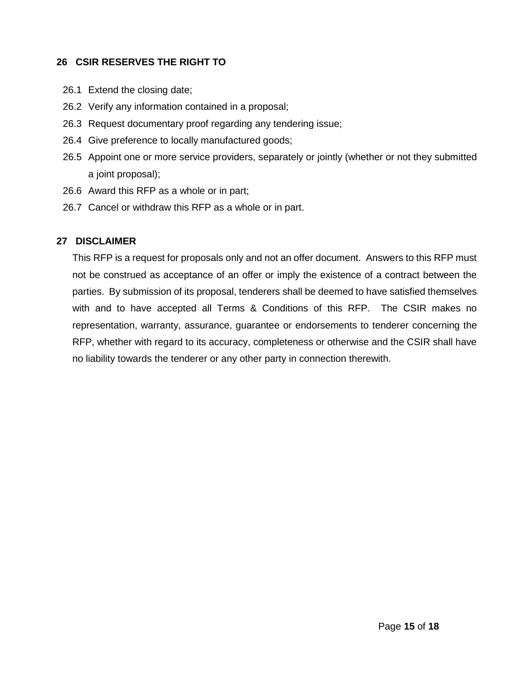#### <span id="page-14-0"></span>**26 CSIR RESERVES THE RIGHT TO**

- 26.1 Extend the closing date;
- 26.2 Verify any information contained in a proposal;
- 26.3 Request documentary proof regarding any tendering issue;
- 26.4 Give preference to locally manufactured goods;
- 26.5 Appoint one or more service providers, separately or jointly (whether or not they submitted a joint proposal);
- 26.6 Award this RFP as a whole or in part;
- 26.7 Cancel or withdraw this RFP as a whole or in part.

#### <span id="page-14-1"></span>**27 DISCLAIMER**

This RFP is a request for proposals only and not an offer document. Answers to this RFP must not be construed as acceptance of an offer or imply the existence of a contract between the parties. By submission of its proposal, tenderers shall be deemed to have satisfied themselves with and to have accepted all Terms & Conditions of this RFP. The CSIR makes no representation, warranty, assurance, guarantee or endorsements to tenderer concerning the RFP, whether with regard to its accuracy, completeness or otherwise and the CSIR shall have no liability towards the tenderer or any other party in connection therewith.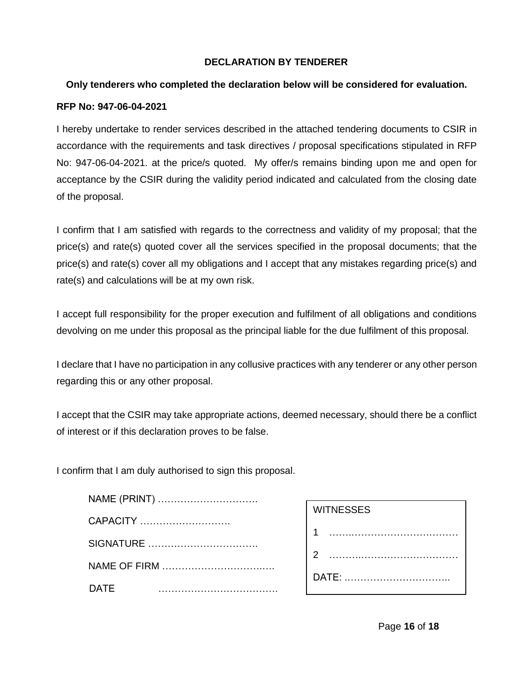#### **DECLARATION BY TENDERER**

#### <span id="page-15-0"></span>**Only tenderers who completed the declaration below will be considered for evaluation.**

#### **RFP No: 947-06-04-2021**

I hereby undertake to render services described in the attached tendering documents to CSIR in accordance with the requirements and task directives / proposal specifications stipulated in RFP No: 947-06-04-2021. at the price/s quoted. My offer/s remains binding upon me and open for acceptance by the CSIR during the validity period indicated and calculated from the closing date of the proposal.

I confirm that I am satisfied with regards to the correctness and validity of my proposal; that the price(s) and rate(s) quoted cover all the services specified in the proposal documents; that the price(s) and rate(s) cover all my obligations and I accept that any mistakes regarding price(s) and rate(s) and calculations will be at my own risk.

I accept full responsibility for the proper execution and fulfilment of all obligations and conditions devolving on me under this proposal as the principal liable for the due fulfilment of this proposal.

I declare that I have no participation in any collusive practices with any tenderer or any other person regarding this or any other proposal.

I accept that the CSIR may take appropriate actions, deemed necessary, should there be a conflict of interest or if this declaration proves to be false.

I confirm that I am duly authorised to sign this proposal.

| NAME (PRINT) |
|--------------|
| CAPACITY     |
|              |
| NAME OF FIRM |
| DATF         |

| <b>WITNESSES</b> |
|------------------|
|                  |
| $\overline{2}$   |
| <b>DATE: </b>    |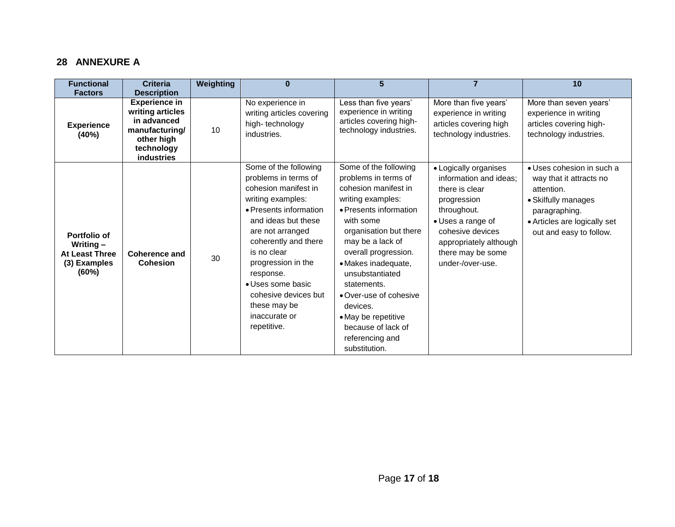## **28 ANNEXURE A**

<span id="page-16-0"></span>

| <b>Functional</b>                                                             | <b>Criteria</b>                                                                                                            | Weighting | $\bf{0}$                                                                                                                                                                                                                                                                                                                               | 5                                                                                                                                                                                                                                                                                                                                                                                       | $\overline{7}$                                                                                                                                                                                              | 10                                                                                                                                                                    |
|-------------------------------------------------------------------------------|----------------------------------------------------------------------------------------------------------------------------|-----------|----------------------------------------------------------------------------------------------------------------------------------------------------------------------------------------------------------------------------------------------------------------------------------------------------------------------------------------|-----------------------------------------------------------------------------------------------------------------------------------------------------------------------------------------------------------------------------------------------------------------------------------------------------------------------------------------------------------------------------------------|-------------------------------------------------------------------------------------------------------------------------------------------------------------------------------------------------------------|-----------------------------------------------------------------------------------------------------------------------------------------------------------------------|
| <b>Factors</b>                                                                | <b>Description</b>                                                                                                         |           |                                                                                                                                                                                                                                                                                                                                        |                                                                                                                                                                                                                                                                                                                                                                                         |                                                                                                                                                                                                             |                                                                                                                                                                       |
| <b>Experience</b><br>(40%)                                                    | <b>Experience in</b><br>writing articles<br>in advanced<br>manufacturing/<br>other high<br>technology<br><b>industries</b> | 10        | No experience in<br>writing articles covering<br>high-technology<br>industries.                                                                                                                                                                                                                                                        | Less than five years'<br>experience in writing<br>articles covering high-<br>technology industries.                                                                                                                                                                                                                                                                                     | More than five years'<br>experience in writing<br>articles covering high<br>technology industries.                                                                                                          | More than seven years'<br>experience in writing<br>articles covering high-<br>technology industries.                                                                  |
| Portfolio of<br>Writing $-$<br><b>At Least Three</b><br>(3) Examples<br>(60%) | Coherence and<br><b>Cohesion</b>                                                                                           | 30        | Some of the following<br>problems in terms of<br>cohesion manifest in<br>writing examples:<br>• Presents information<br>and ideas but these<br>are not arranged<br>coherently and there<br>is no clear<br>progression in the<br>response.<br>• Uses some basic<br>cohesive devices but<br>these may be<br>inaccurate or<br>repetitive. | Some of the following<br>problems in terms of<br>cohesion manifest in<br>writing examples:<br>• Presents information<br>with some<br>organisation but there<br>may be a lack of<br>overall progression.<br>• Makes inadequate,<br>unsubstantiated<br>statements.<br>• Over-use of cohesive<br>devices.<br>• May be repetitive<br>because of lack of<br>referencing and<br>substitution. | • Logically organises<br>information and ideas:<br>there is clear<br>progression<br>throughout.<br>• Uses a range of<br>cohesive devices<br>appropriately although<br>there may be some<br>under-/over-use. | • Uses cohesion in such a<br>way that it attracts no<br>attention.<br>• Skilfully manages<br>paragraphing.<br>• Articles are logically set<br>out and easy to follow. |